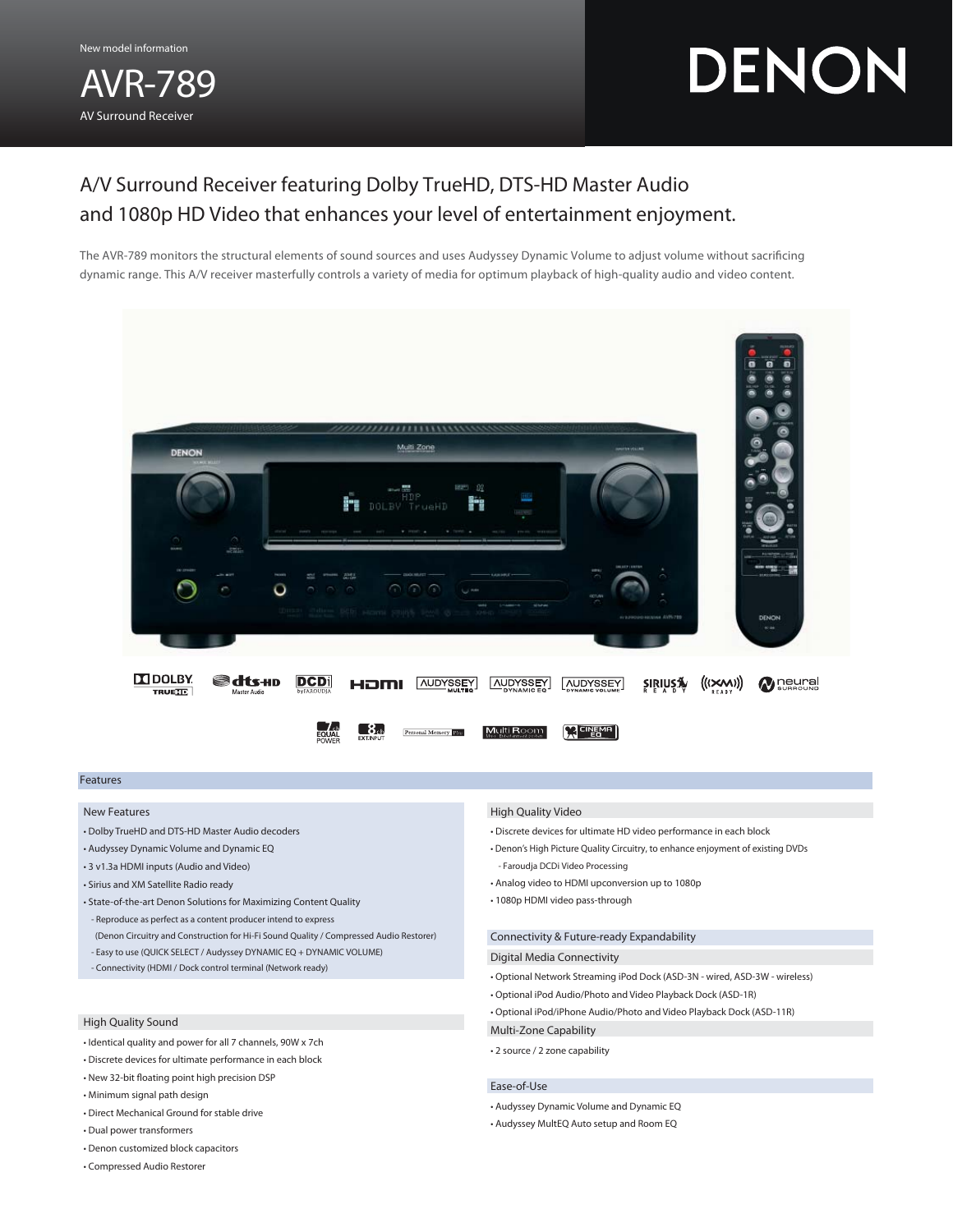New model information

AVR-789 AV Surround Receiver

# DENON

# A/V Surround Receiver featuring Dolby TrueHD, DTS-HD Master Audio and 1080p HD Video that enhances your level of entertainment enjoyment.

The AVR-789 monitors the structural elements of sound sources and uses Audyssey Dynamic Volume to adjust volume without sacrificing dynamic range. This A/V receiver masterfully controls a variety of media for optimum playback of high-quality audio and video content.



# Features

# New Features

- Dolby TrueHD and DTS-HD Master Audio decoders
- Audyssey Dynamic Volume and Dynamic EQ
- 3 v1.3a HDMI inputs (Audio and Video)
- Sirius and XM Satellite Radio ready
- State-of-the-art Denon Solutions for Maximizing Content Quality - Reproduce as perfect as a content producer intend to express (Denon Circuitry and Construction for Hi-Fi Sound Quality / Compressed Audio Restorer)
- Easy to use (QUICK SELECT / Audyssey DYNAMIC EQ + DYNAMIC VOLUME)
- Connectivity (HDMI / Dock control terminal (Network ready)

#### High Quality Sound

- Identical quality and power for all 7 channels, 90W x 7ch
- Discrete devices for ultimate performance in each block
- New 32-bit floating point high precision DSP
- Minimum signal path design
- Direct Mechanical Ground for stable drive
- Dual power transformers
- Denon customized block capacitors
- Compressed Audio Restorer

#### High Quality Video

- Discrete devices for ultimate HD video performance in each block
- Denon's High Picture Quality Circuitry, to enhance enjoyment of existing DVDs - Faroudja DCDi Video Processing
- Analog video to HDMI upconversion up to 1080p
- 1080p HDMI video pass-through

## Connectivity & Future-ready Expandability

#### Digital Media Connectivity

- Optional Network Streaming iPod Dock (ASD-3N wired, ASD-3W wireless)
- Optional iPod Audio/Photo and Video Playback Dock (ASD-1R)
- Optional iPod/iPhone Audio/Photo and Video Playback Dock (ASD-11R)
- Multi-Zone Capability
- 2 source / 2 zone capability

## Ease-of-Use

- Audyssey Dynamic Volume and Dynamic EQ
- Audyssey MultEQ Auto setup and Room EQ